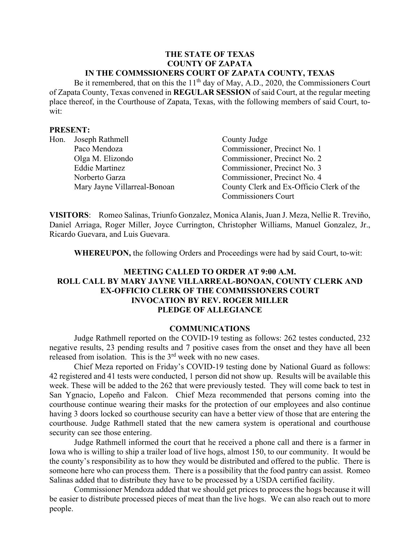### **THE STATE OF TEXAS COUNTY OF ZAPATA IN THE COMMSSIONERS COURT OF ZAPATA COUNTY, TEXAS**

Be it remembered, that on this the  $11<sup>th</sup>$  day of May, A.D., 2020, the Commissioners Court of Zapata County, Texas convened in **REGULAR SESSION** of said Court, at the regular meeting place thereof, in the Courthouse of Zapata, Texas, with the following members of said Court, towit:

### **PRESENT:**

| Hon. | Joseph Rathmell              | County Judge                             |
|------|------------------------------|------------------------------------------|
|      | Paco Mendoza                 | Commissioner, Precinct No. 1             |
|      | Olga M. Elizondo             | Commissioner, Precinct No. 2             |
|      | <b>Eddie Martinez</b>        | Commissioner, Precinct No. 3             |
|      | Norberto Garza               | Commissioner, Precinct No. 4             |
|      | Mary Jayne Villarreal-Bonoan | County Clerk and Ex-Officio Clerk of the |
|      |                              | <b>Commissioners Court</b>               |

**VISITORS**: Romeo Salinas, Triunfo Gonzalez, Monica Alanis, Juan J. Meza, Nellie R. Treviño, Daniel Arriaga, Roger Miller, Joyce Currington, Christopher Williams, Manuel Gonzalez, Jr., Ricardo Guevara, and Luis Guevara.

**WHEREUPON,** the following Orders and Proceedings were had by said Court, to-wit:

# **MEETING CALLED TO ORDER AT 9:00 A.M. ROLL CALL BY MARY JAYNE VILLARREAL-BONOAN, COUNTY CLERK AND EX-OFFICIO CLERK OF THE COMMISSIONERS COURT INVOCATION BY REV. ROGER MILLER PLEDGE OF ALLEGIANCE**

#### **COMMUNICATIONS**

Judge Rathmell reported on the COVID-19 testing as follows: 262 testes conducted, 232 negative results, 23 pending results and 7 positive cases from the onset and they have all been released from isolation. This is the  $3<sup>rd</sup>$  week with no new cases.

Chief Meza reported on Friday's COVID-19 testing done by National Guard as follows: 42 registered and 41 tests were conducted, 1 person did not show up. Results will be available this week. These will be added to the 262 that were previously tested. They will come back to test in San Ygnacio, Lopeño and Falcon. Chief Meza recommended that persons coming into the courthouse continue wearing their masks for the protection of our employees and also continue having 3 doors locked so courthouse security can have a better view of those that are entering the courthouse. Judge Rathmell stated that the new camera system is operational and courthouse security can see those entering.

Judge Rathmell informed the court that he received a phone call and there is a farmer in Iowa who is willing to ship a trailer load of live hogs, almost 150, to our community. It would be the county's responsibility as to how they would be distributed and offered to the public. There is someone here who can process them. There is a possibility that the food pantry can assist. Romeo Salinas added that to distribute they have to be processed by a USDA certified facility.

Commissioner Mendoza added that we should get prices to process the hogs because it will be easier to distribute processed pieces of meat than the live hogs. We can also reach out to more people.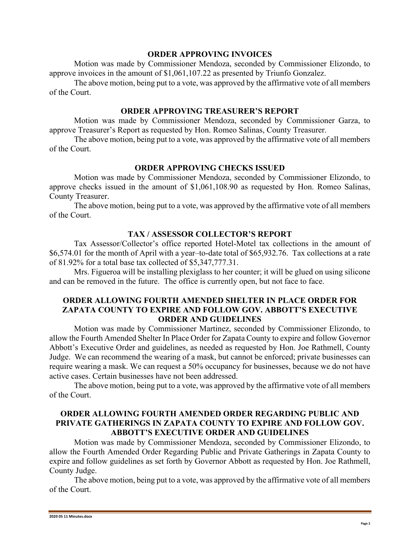### **ORDER APPROVING INVOICES**

Motion was made by Commissioner Mendoza, seconded by Commissioner Elizondo, to approve invoices in the amount of \$1,061,107.22 as presented by Triunfo Gonzalez.

The above motion, being put to a vote, was approved by the affirmative vote of all members of the Court.

## **ORDER APPROVING TREASURER'S REPORT**

Motion was made by Commissioner Mendoza, seconded by Commissioner Garza, to approve Treasurer's Report as requested by Hon. Romeo Salinas, County Treasurer.

The above motion, being put to a vote, was approved by the affirmative vote of all members of the Court.

# **ORDER APPROVING CHECKS ISSUED**

Motion was made by Commissioner Mendoza, seconded by Commissioner Elizondo, to approve checks issued in the amount of \$1,061,108.90 as requested by Hon. Romeo Salinas, County Treasurer.

The above motion, being put to a vote, was approved by the affirmative vote of all members of the Court.

## **TAX / ASSESSOR COLLECTOR'S REPORT**

Tax Assessor/Collector's office reported Hotel-Motel tax collections in the amount of \$6,574.01 for the month of April with a year–to-date total of \$65,932.76. Tax collections at a rate of 81.92% for a total base tax collected of \$5,347,777.31.

Mrs. Figueroa will be installing plexiglass to her counter; it will be glued on using silicone and can be removed in the future. The office is currently open, but not face to face.

## **ORDER ALLOWING FOURTH AMENDED SHELTER IN PLACE ORDER FOR ZAPATA COUNTY TO EXPIRE AND FOLLOW GOV. ABBOTT'S EXECUTIVE ORDER AND GUIDELINES**

Motion was made by Commissioner Martinez, seconded by Commissioner Elizondo, to allow the Fourth Amended Shelter In Place Order for Zapata County to expire and follow Governor Abbott's Executive Order and guidelines, as needed as requested by Hon. Joe Rathmell, County Judge. We can recommend the wearing of a mask, but cannot be enforced; private businesses can require wearing a mask. We can request a 50% occupancy for businesses, because we do not have active cases. Certain businesses have not been addressed.

The above motion, being put to a vote, was approved by the affirmative vote of all members of the Court.

## **ORDER ALLOWING FOURTH AMENDED ORDER REGARDING PUBLIC AND PRIVATE GATHERINGS IN ZAPATA COUNTY TO EXPIRE AND FOLLOW GOV. ABBOTT'S EXECUTIVE ORDER AND GUIDELINES**

Motion was made by Commissioner Mendoza, seconded by Commissioner Elizondo, to allow the Fourth Amended Order Regarding Public and Private Gatherings in Zapata County to expire and follow guidelines as set forth by Governor Abbott as requested by Hon. Joe Rathmell, County Judge.

The above motion, being put to a vote, was approved by the affirmative vote of all members of the Court.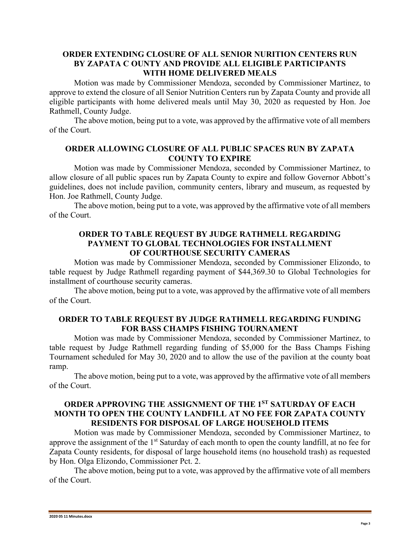## **ORDER EXTENDING CLOSURE OF ALL SENIOR NURITION CENTERS RUN BY ZAPATA C OUNTY AND PROVIDE ALL ELIGIBLE PARTICIPANTS WITH HOME DELIVERED MEALS**

Motion was made by Commissioner Mendoza, seconded by Commissioner Martinez, to approve to extend the closure of all Senior Nutrition Centers run by Zapata County and provide all eligible participants with home delivered meals until May 30, 2020 as requested by Hon. Joe Rathmell, County Judge.

The above motion, being put to a vote, was approved by the affirmative vote of all members of the Court.

## **ORDER ALLOWING CLOSURE OF ALL PUBLIC SPACES RUN BY ZAPATA COUNTY TO EXPIRE**

Motion was made by Commissioner Mendoza, seconded by Commissioner Martinez, to allow closure of all public spaces run by Zapata County to expire and follow Governor Abbott's guidelines, does not include pavilion, community centers, library and museum, as requested by Hon. Joe Rathmell, County Judge.

The above motion, being put to a vote, was approved by the affirmative vote of all members of the Court.

## **ORDER TO TABLE REQUEST BY JUDGE RATHMELL REGARDING PAYMENT TO GLOBAL TECHNOLOGIES FOR INSTALLMENT OF COURTHOUSE SECURITY CAMERAS**

Motion was made by Commissioner Mendoza, seconded by Commissioner Elizondo, to table request by Judge Rathmell regarding payment of \$44,369.30 to Global Technologies for installment of courthouse security cameras.

The above motion, being put to a vote, was approved by the affirmative vote of all members of the Court.

## **ORDER TO TABLE REQUEST BY JUDGE RATHMELL REGARDING FUNDING FOR BASS CHAMPS FISHING TOURNAMENT**

Motion was made by Commissioner Mendoza, seconded by Commissioner Martinez, to table request by Judge Rathmell regarding funding of \$5,000 for the Bass Champs Fishing Tournament scheduled for May 30, 2020 and to allow the use of the pavilion at the county boat ramp.

The above motion, being put to a vote, was approved by the affirmative vote of all members of the Court.

## **ORDER APPROVING THE ASSIGNMENT OF THE 1ST SATURDAY OF EACH MONTH TO OPEN THE COUNTY LANDFILL AT NO FEE FOR ZAPATA COUNTY RESIDENTS FOR DISPOSAL OF LARGE HOUSEHOLD ITEMS**

Motion was made by Commissioner Mendoza, seconded by Commissioner Martinez, to approve the assignment of the 1<sup>st</sup> Saturday of each month to open the county landfill, at no fee for Zapata County residents, for disposal of large household items (no household trash) as requested by Hon. Olga Elizondo, Commissioner Pct. 2.

The above motion, being put to a vote, was approved by the affirmative vote of all members of the Court.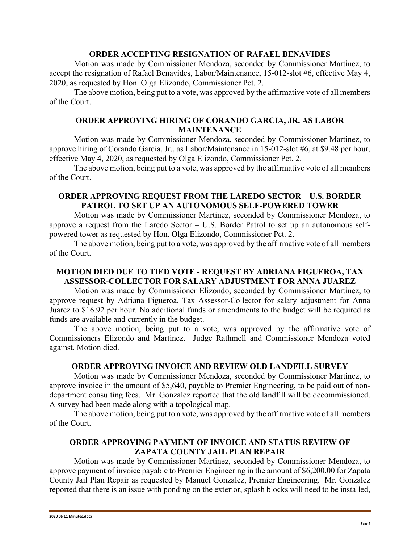### **ORDER ACCEPTING RESIGNATION OF RAFAEL BENAVIDES**

Motion was made by Commissioner Mendoza, seconded by Commissioner Martinez, to accept the resignation of Rafael Benavides, Labor/Maintenance, 15-012-slot #6, effective May 4, 2020, as requested by Hon. Olga Elizondo, Commissioner Pct. 2.

The above motion, being put to a vote, was approved by the affirmative vote of all members of the Court.

## **ORDER APPROVING HIRING OF CORANDO GARCIA, JR. AS LABOR MAINTENANCE**

Motion was made by Commissioner Mendoza, seconded by Commissioner Martinez, to approve hiring of Corando Garcia, Jr., as Labor/Maintenance in 15-012-slot #6, at \$9.48 per hour, effective May 4, 2020, as requested by Olga Elizondo, Commissioner Pct. 2.

The above motion, being put to a vote, was approved by the affirmative vote of all members of the Court.

## **ORDER APPROVING REQUEST FROM THE LAREDO SECTOR – U.S. BORDER PATROL TO SET UP AN AUTONOMOUS SELF-POWERED TOWER**

Motion was made by Commissioner Martinez, seconded by Commissioner Mendoza, to approve a request from the Laredo Sector – U.S. Border Patrol to set up an autonomous selfpowered tower as requested by Hon. Olga Elizondo, Commissioner Pct. 2.

The above motion, being put to a vote, was approved by the affirmative vote of all members of the Court.

# **MOTION DIED DUE TO TIED VOTE - REQUEST BY ADRIANA FIGUEROA, TAX ASSESSOR-COLLECTOR FOR SALARY ADJUSTMENT FOR ANNA JUAREZ**

Motion was made by Commissioner Elizondo, seconded by Commissioner Martinez, to approve request by Adriana Figueroa, Tax Assessor-Collector for salary adjustment for Anna Juarez to \$16.92 per hour. No additional funds or amendments to the budget will be required as funds are available and currently in the budget.

The above motion, being put to a vote, was approved by the affirmative vote of Commissioners Elizondo and Martinez. Judge Rathmell and Commissioner Mendoza voted against. Motion died.

## **ORDER APPROVING INVOICE AND REVIEW OLD LANDFILL SURVEY**

Motion was made by Commissioner Mendoza, seconded by Commissioner Martinez, to approve invoice in the amount of \$5,640, payable to Premier Engineering, to be paid out of nondepartment consulting fees. Mr. Gonzalez reported that the old landfill will be decommissioned. A survey had been made along with a topological map.

The above motion, being put to a vote, was approved by the affirmative vote of all members of the Court.

# **ORDER APPROVING PAYMENT OF INVOICE AND STATUS REVIEW OF ZAPATA COUNTY JAIL PLAN REPAIR**

Motion was made by Commissioner Martinez, seconded by Commissioner Mendoza, to approve payment of invoice payable to Premier Engineering in the amount of \$6,200.00 for Zapata County Jail Plan Repair as requested by Manuel Gonzalez, Premier Engineering. Mr. Gonzalez reported that there is an issue with ponding on the exterior, splash blocks will need to be installed,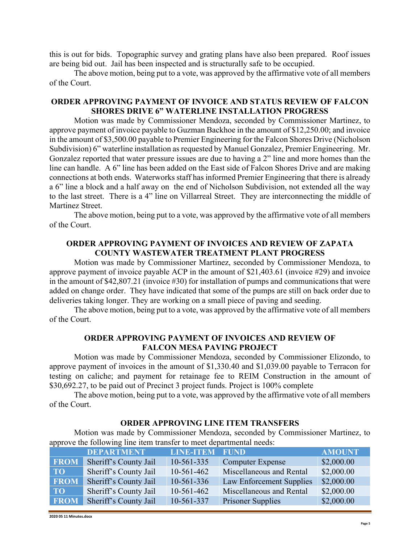this is out for bids. Topographic survey and grating plans have also been prepared. Roof issues are being bid out. Jail has been inspected and is structurally safe to be occupied.

The above motion, being put to a vote, was approved by the affirmative vote of all members of the Court.

## **ORDER APPROVING PAYMENT OF INVOICE AND STATUS REVIEW OF FALCON SHORES DRIVE 6" WATERLINE INSTALLATION PROGRESS**

Motion was made by Commissioner Mendoza, seconded by Commissioner Martinez, to approve payment of invoice payable to Guzman Backhoe in the amount of \$12,250.00; and invoice in the amount of \$3,500.00 payable to Premier Engineering for the Falcon Shores Drive (Nicholson Subdivision) 6" waterline installation as requested by Manuel Gonzalez, Premier Engineering. Mr. Gonzalez reported that water pressure issues are due to having a 2" line and more homes than the line can handle. A 6" line has been added on the East side of Falcon Shores Drive and are making connections at both ends. Waterworks staff has informed Premier Engineering that there is already a 6" line a block and a half away on the end of Nicholson Subdivision, not extended all the way to the last street. There is a 4" line on Villarreal Street. They are interconnecting the middle of Martinez Street.

The above motion, being put to a vote, was approved by the affirmative vote of all members of the Court.

## **ORDER APPROVING PAYMENT OF INVOICES AND REVIEW OF ZAPATA COUNTY WASTEWATER TREATMENT PLANT PROGRESS**

Motion was made by Commissioner Martinez, seconded by Commissioner Mendoza, to approve payment of invoice payable ACP in the amount of \$21,403.61 (invoice #29) and invoice in the amount of \$42,807.21 (invoice #30) for installation of pumps and communications that were added on change order. They have indicated that some of the pumps are still on back order due to deliveries taking longer. They are working on a small piece of paving and seeding.

The above motion, being put to a vote, was approved by the affirmative vote of all members of the Court.

## **ORDER APPROVING PAYMENT OF INVOICES AND REVIEW OF FALCON MESA PAVING PROJECT**

Motion was made by Commissioner Mendoza, seconded by Commissioner Elizondo, to approve payment of invoices in the amount of \$1,330.40 and \$1,039.00 payable to Terracon for testing on caliche; and payment for retainage fee to REIM Construction in the amount of \$30,692.27, to be paid out of Precinct 3 project funds. Project is 100% complete

The above motion, being put to a vote, was approved by the affirmative vote of all members of the Court.

| approve the following line item transfer to meet departmental needs: |                       |                       |                          |               |  |
|----------------------------------------------------------------------|-----------------------|-----------------------|--------------------------|---------------|--|
|                                                                      | <b>DEPARTMENT</b>     | <b>LINE-ITEM FUND</b> |                          | <b>AMOUNT</b> |  |
| <b>FROM</b>                                                          | Sheriff's County Jail | 10-561-335            | <b>Computer Expense</b>  | \$2,000.00    |  |
| TO                                                                   | Sheriff's County Jail | $10-561-462$          | Miscellaneous and Rental | \$2,000.00    |  |
| <b>FROM</b>                                                          | Sheriff's County Jail | 10-561-336            | Law Enforcement Supplies | \$2,000.00    |  |
| <b>TO</b>                                                            | Sheriff's County Jail | $10-561-462$          | Miscellaneous and Rental | \$2,000.00    |  |
| <b>FROM</b>                                                          | Sheriff's County Jail | 10-561-337            | <b>Prisoner Supplies</b> | \$2,000.00    |  |

#### **ORDER APPROVING LINE ITEM TRANSFERS**

Motion was made by Commissioner Mendoza, seconded by Commissioner Martinez, to

**2020 05 11 Minutes.docx**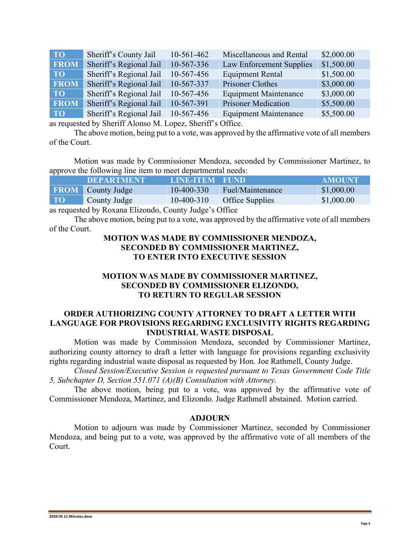| <b>TO</b>   | Sheriff's County Jail   | $10-561-462$ | Miscellaneous and Rental     | \$2,000.00 |
|-------------|-------------------------|--------------|------------------------------|------------|
| <b>FROM</b> | Sheriff's Regional Jail | 10-567-336   | Law Enforcement Supplies     | \$1,500.00 |
| TO          | Sheriff's Regional Jail | 10-567-456   | <b>Equipment Rental</b>      | \$1,500.00 |
| <b>FROM</b> | Sheriff's Regional Jail | 10-567-337   | Prisoner Clothes             | \$3,000.00 |
| TO          | Sheriff's Regional Jail | 10-567-456   | <b>Equipment Maintenance</b> | \$3,000.00 |
| <b>FROM</b> | Sheriff's Regional Jail | 10-567-391   | <b>Prisoner Medication</b>   | \$5,500.00 |
| <b>TO</b>   | Sheriff's Regional Jail | 10-567-456   | <b>Equipment Maintenance</b> | \$5,500.00 |

as requested by Sheriff Alonso M. Lopez, Sheriff's Office.

The above motion, being put to a vote, was approved by the affirmative vote of all members of the Court.

Motion was made by Commissioner Mendoza, seconded by Commissioner Martinez, to approve the following line item to meet departmental needs:

|    | <b>DEPARTMENT</b>        | LINE-ITEM FUND |                  | AMOUNT     |
|----|--------------------------|----------------|------------------|------------|
|    | <b>FROM</b> County Judge | $10-400-330$   | Fuel/Maintenance | \$1,000.00 |
| TO | County Judge             | $10-400-310$   | Office Supplies  | \$1,000.00 |

as requested by Roxana Elizondo, County Judge's Office

The above motion, being put to a vote, was approved by the affirmative vote of all members of the Court.

## **MOTION WAS MADE BY COMMISSIONER MENDOZA, SECONDED BY COMMISSIONER MARTINEZ, TO ENTER INTO EXECUTIVE SESSION**

## **MOTION WAS MADE BY COMMISSIONER MARTINEZ, SECONDED BY COMMISSIONER ELIZONDO, TO RETURN TO REGULAR SESSION**

## **ORDER AUTHORIZING COUNTY ATTORNEY TO DRAFT A LETTER WITH LANGUAGE FOR PROVISIONS REGARDING EXCLUSIVITY RIGHTS REGARDING INDUSTRIAL WASTE DISPOSAL**

Motion was made by Commission Mendoza, seconded by Commissioner Martinez, authorizing county attorney to draft a letter with language for provisions regarding exclusivity rights regarding industrial waste disposal as requested by Hon. Joe Rathmell, County Judge.

*Closed Session/Executive Session is requested pursuant to Texas Government Code Title 5, Subchapter D, Section 551.071 (A)(B) Consultation with Attorney.*

The above motion, being put to a vote, was approved by the affirmative vote of Commissioner Mendoza, Martinez, and Elizondo. Judge Rathmell abstained. Motion carried.

#### **ADJOURN**

Motion to adjourn was made by Commissioner Martinez, seconded by Commissioner Mendoza, and being put to a vote, was approved by the affirmative vote of all members of the Court.